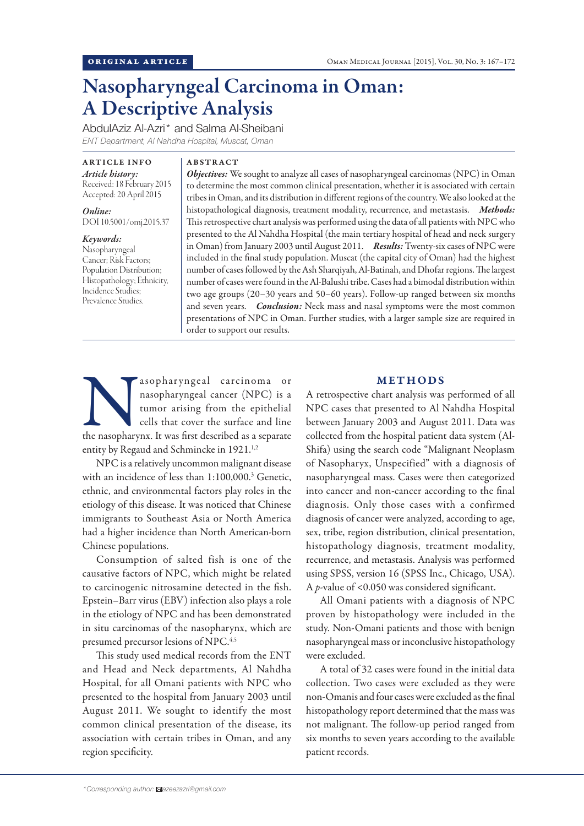# Nasopharyngeal Carcinoma in Oman: A Descriptive Analysis

AbdulAziz Al-Azri\* and Salma Al-Sheibani *ENT Department, Al Nahdha Hospital, Muscat, Oman*

ARTICLE INFO *Article history:*  Received: 18 February 2015 Accepted: 20 April 2015

*Online:* DOI 10.5001/omj.2015.37

*Keywords:* Nasopharyngeal Cancer; Risk Factors; Population Distribution; Histopathology; Ethnicity, Incidence Studies; Prevalence Studies.

### ABSTRACT

*Objectives:* We sought to analyze all cases of nasopharyngeal carcinomas (NPC) in Oman to determine the most common clinical presentation, whether it is associated with certain tribes in Oman, and its distribution in different regions of the country. We also looked at the histopathological diagnosis, treatment modality, recurrence, and metastasis. *Methods:* This retrospective chart analysis was performed using the data of all patients with NPC who presented to the Al Nahdha Hospital (the main tertiary hospital of head and neck surgery in Oman) from January 2003 until August 2011. *Results:* Twenty-six cases of NPC were included in the final study population. Muscat (the capital city of Oman) had the highest number of cases followed by the Ash Sharqiyah, Al-Batinah, and Dhofar regions. The largest number of cases were found in the Al-Balushi tribe. Cases had a bimodal distribution within two age groups (20–30 years and 50–60 years). Follow-up ranged between six months and seven years. *Conclusion:* Neck mass and nasal symptoms were the most common presentations of NPC in Oman. Further studies, with a larger sample size are required in order to support our results.

asopharyngeal carcinoma or nasopharyngeal cancer (NPC) is a tumor arising from the epithelial cells that cover the surface and line the nasopharynx. It was first described as a separate nasopharyngeal cancer (NPC) is a tumor arising from the epithelial cells that cover the surface and line entity by Regaud and Schmincke in 1921.<sup>1,2</sup>

NPC is a relatively uncommon malignant disease with an incidence of less than 1:100,000.3 Genetic, ethnic, and environmental factors play roles in the etiology of this disease. It was noticed that Chinese immigrants to Southeast Asia or North America had a higher incidence than North American-born Chinese populations.

Consumption of salted fish is one of the causative factors of NPC, which might be related to carcinogenic nitrosamine detected in the fish. Epstein–Barr virus (EBV) infection also plays a role in the etiology of NPC and has been demonstrated in situ carcinomas of the nasopharynx, which are presumed precursor lesions of NPC.<sup>4,5</sup>

This study used medical records from the ENT and Head and Neck departments, Al Nahdha Hospital, for all Omani patients with NPC who presented to the hospital from January 2003 until August 2011. We sought to identify the most common clinical presentation of the disease, its association with certain tribes in Oman, and any region specificity.

# METHODS

A retrospective chart analysis was performed of all NPC cases that presented to Al Nahdha Hospital between January 2003 and August 2011. Data was collected from the hospital patient data system (Al-Shifa) using the search code "Malignant Neoplasm of Nasopharyx, Unspecified" with a diagnosis of nasopharyngeal mass. Cases were then categorized into cancer and non-cancer according to the final diagnosis. Only those cases with a confirmed diagnosis of cancer were analyzed, according to age, sex, tribe, region distribution, clinical presentation, histopathology diagnosis, treatment modality, recurrence, and metastasis. Analysis was performed using SPSS, version 16 (SPSS Inc., Chicago, USA). A *p*-value of <0.050 was considered significant.

All Omani patients with a diagnosis of NPC proven by histopathology were included in the study. Non-Omani patients and those with benign nasopharyngeal mass or inconclusive histopathology were excluded.

A total of 32 cases were found in the initial data collection. Two cases were excluded as they were non-Omanis and four cases were excluded as the final histopathology report determined that the mass was not malignant. The follow-up period ranged from six months to seven years according to the available patient records.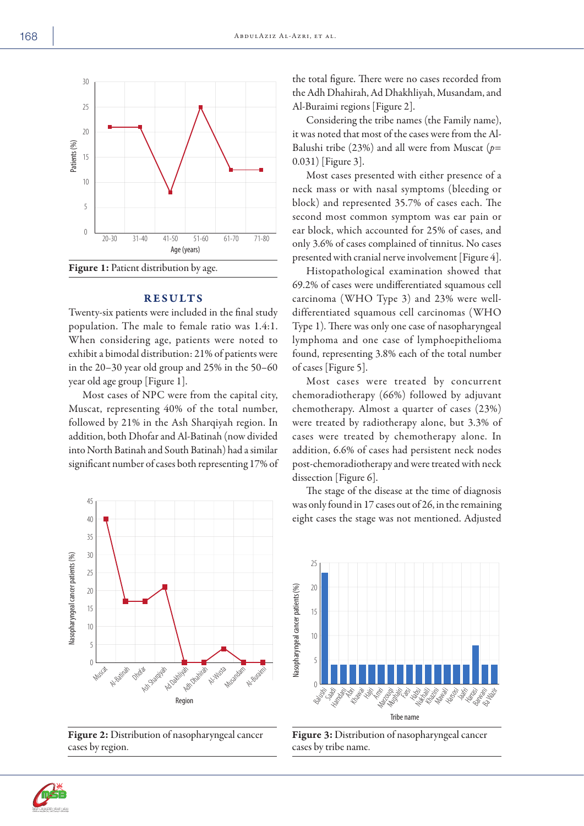

Twenty-six patients were included in the final study population. The male to female ratio was 1.4:1. When considering age, patients were noted to exhibit a bimodal distribution: 21% of patients were in the 20–30 year old group and 25% in the 50–60 year old age group [Figure 1].

RESULTS

Most cases of NPC were from the capital city, Muscat, representing 40% of the total number, followed by 21% in the Ash Sharqiyah region. In addition, both Dhofar and Al-Batinah (now divided into North Batinah and South Batinah) had a similar significant number of cases both representing 17% of



Figure 2: Distribution of nasopharyngeal cancer cases by region.

the total figure. There were no cases recorded from the Adh Dhahirah, Ad Dhakhliyah, Musandam, and Al-Buraimi regions [Figure 2].

Considering the tribe names (the Family name), it was noted that most of the cases were from the Al-Balushi tribe (23%) and all were from Muscat (*p*= 0.031) [Figure 3].

Most cases presented with either presence of a neck mass or with nasal symptoms (bleeding or block) and represented 35.7% of cases each. The second most common symptom was ear pain or ear block, which accounted for 25% of cases, and only 3.6% of cases complained of tinnitus. No cases presented with cranial nerve involvement [Figure 4].

Histopathological examination showed that 69.2% of cases were undifferentiated squamous cell carcinoma (WHO Type 3) and 23% were welldifferentiated squamous cell carcinomas (WHO Type 1). There was only one case of nasopharyngeal lymphoma and one case of lymphoepithelioma found, representing 3.8% each of the total number of cases [Figure 5].

Most cases were treated by concurrent chemoradiotherapy (66%) followed by adjuvant chemotherapy. Almost a quarter of cases (23%) were treated by radiotherapy alone, but 3.3% of cases were treated by chemotherapy alone. In addition, 6.6% of cases had persistent neck nodes post-chemoradiotherapy and were treated with neck dissection [Figure 6].

The stage of the disease at the time of diagnosis was only found in 17 cases out of 26, in the remaining eight cases the stage was not mentioned. Adjusted





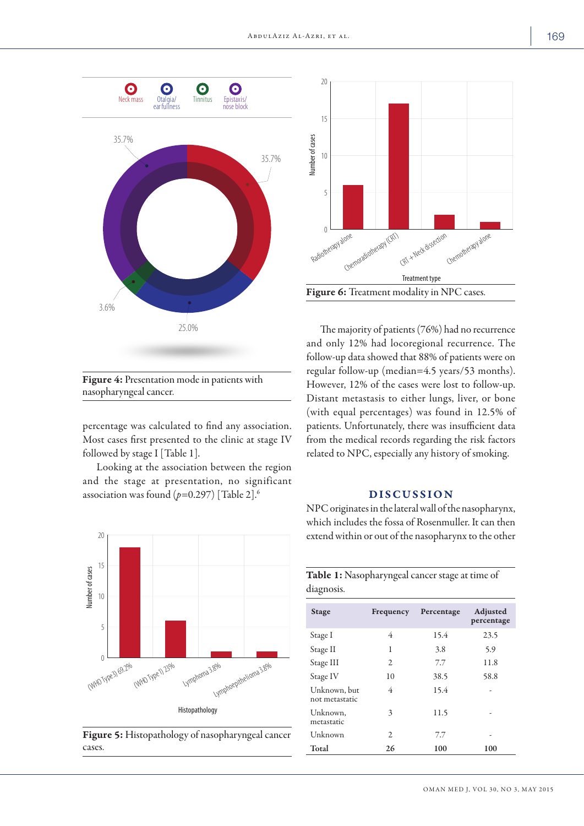

Figure 4: Presentation mode in patients with nasopharyngeal cancer.

percentage was calculated to find any association. Most cases first presented to the clinic at stage IV followed by stage I [Table 1].

Looking at the association between the region and the stage at presentation, no significant association was found (*p=*0.297) [Table 2].6



Figure 5: Histopathology of nasopharyngeal cancer cases.



The majority of patients (76%) had no recurrence and only 12% had locoregional recurrence. The follow-up data showed that 88% of patients were on regular follow-up (median=4.5 years/53 months). However, 12% of the cases were lost to follow-up. Distant metastasis to either lungs, liver, or bone (with equal percentages) was found in 12.5% of patients. Unfortunately, there was insufficient data from the medical records regarding the risk factors related to NPC, especially any history of smoking.

# DISCUSSION

NPC originates in the lateral wall of the nasopharynx, which includes the fossa of Rosenmuller. It can then extend within or out of the nasopharynx to the other

|            | Table 1: Nasopharyngeal cancer stage at time of |  |
|------------|-------------------------------------------------|--|
| diagnosis. |                                                 |  |

| <b>Stage</b>                   | Frequency | Percentage | Adjusted<br>percentage |
|--------------------------------|-----------|------------|------------------------|
| Stage I                        | 4         | 15.4       | 23.5                   |
| Stage II                       | 1         | 3.8        | 5.9                    |
| Stage III                      | 2         | 7.7        | 11.8                   |
| Stage IV                       | 10        | 38.5       | 58.8                   |
| Unknown, but<br>not metastatic | 4         | 15.4       |                        |
| Unknown,<br>metastatic         | 3         | 11.5       |                        |
| Unknown                        | 2         | 7.7        | ۰                      |
| Total                          | 26        | 100        | 100                    |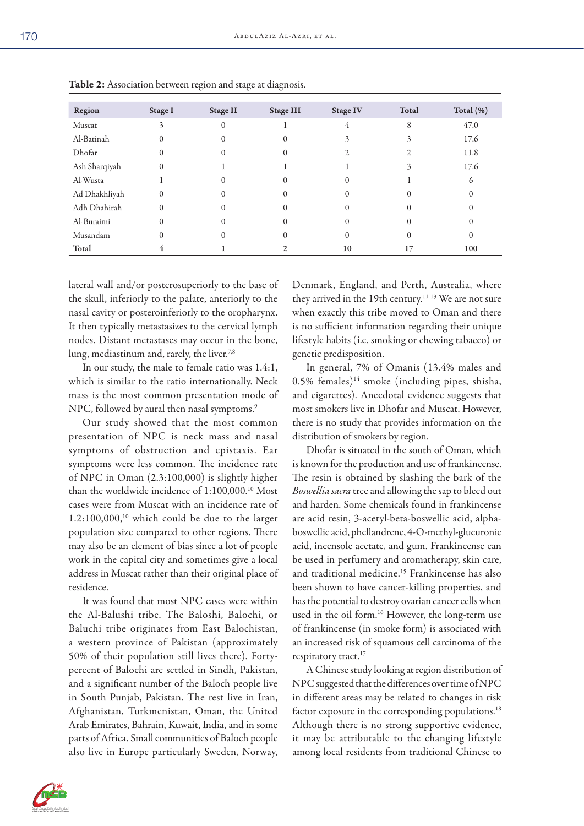| Region        | Stage I  | Stage II     | <b>Stage III</b>  | <b>Stage IV</b> | Total | Total $(\%)$ |
|---------------|----------|--------------|-------------------|-----------------|-------|--------------|
| Muscat        | 3        | $\mathbf{0}$ |                   | 4               | 8     | 47.0         |
| Al-Batinah    | 0        | 0            | $\mathcal{O}$     | 3               | 3     | 17.6         |
| Dhofar        | $^{(1)}$ | 0            | $\mathbf{\Omega}$ |                 |       | 11.8         |
| Ash Sharqiyah |          |              |                   |                 | 3     | 17.6         |
| Al-Wusta      |          | $\Omega$     |                   |                 |       | 6            |
| Ad Dhakhliyah | 0        | $\Omega$     |                   | O               |       | $\Omega$     |
| Adh Dhahirah  |          | 0            |                   |                 |       | $\Omega$     |
| Al-Buraimi    |          | 0            |                   |                 |       | $\theta$     |
| Musandam      |          | 0            |                   | 0               |       | $\Omega$     |
| Total         |          |              |                   | 10              |       | 100          |

Table 2: Association between region and stage at diagnosis.

lateral wall and/or posterosuperiorly to the base of the skull, inferiorly to the palate, anteriorly to the nasal cavity or posteroinferiorly to the oropharynx. It then typically metastasizes to the cervical lymph nodes. Distant metastases may occur in the bone, lung, mediastinum and, rarely, the liver.<sup>7,8</sup>

In our study, the male to female ratio was 1.4:1, which is similar to the ratio internationally. Neck mass is the most common presentation mode of NPC, followed by aural then nasal symptoms.<sup>9</sup>

Our study showed that the most common presentation of NPC is neck mass and nasal symptoms of obstruction and epistaxis. Ear symptoms were less common. The incidence rate of NPC in Oman (2.3:100,000) is slightly higher than the worldwide incidence of 1:100,000.10 Most cases were from Muscat with an incidence rate of  $1.2:100,000$ ,<sup>10</sup> which could be due to the larger population size compared to other regions. There may also be an element of bias since a lot of people work in the capital city and sometimes give a local address in Muscat rather than their original place of residence.

It was found that most NPC cases were within the Al-Balushi tribe. The Baloshi, Balochi, or Baluchi tribe originates from East Balochistan, a western province of Pakistan (approximately 50% of their population still lives there). Fortypercent of Balochi are settled in Sindh, Pakistan, and a significant number of the Baloch people live in South Punjab, Pakistan. The rest live in Iran, Afghanistan, Turkmenistan, Oman, the United Arab Emirates, Bahrain, Kuwait, India, and in some parts of Africa. Small communities of Baloch people also live in Europe particularly Sweden, Norway, Denmark, England, and Perth, Australia, where they arrived in the 19th century.<sup>11-13</sup> We are not sure when exactly this tribe moved to Oman and there is no sufficient information regarding their unique lifestyle habits (i.e. smoking or chewing tabacco) or genetic predisposition.

In general, 7% of Omanis (13.4% males and  $0.5\%$  females)<sup>14</sup> smoke (including pipes, shisha, and cigarettes). Anecdotal evidence suggests that most smokers live in Dhofar and Muscat. However, there is no study that provides information on the distribution of smokers by region.

Dhofar is situated in the south of Oman, which is known for the production and use of frankincense. The resin is obtained by slashing the bark of the *Boswellia sacra* tree and allowing the sap to bleed out and harden. Some chemicals found in frankincense are acid resin, 3-acetyl-beta-boswellic acid, alphaboswellic acid, phellandrene, 4-O-methyl-glucuronic acid, incensole acetate, and gum. Frankincense can be used in perfumery and aromatherapy, skin care, and traditional medicine.15 Frankincense has also been shown to have cancer-killing properties, and has the potential to destroy ovarian cancer cells when used in the oil form.<sup>16</sup> However, the long-term use of frankincense (in smoke form) is associated with an increased risk of squamous cell carcinoma of the respiratory tract.<sup>17</sup>

A Chinese study looking at region distribution of NPC suggested that the differences over time of NPC in different areas may be related to changes in risk factor exposure in the corresponding populations.<sup>18</sup> Although there is no strong supportive evidence, it may be attributable to the changing lifestyle among local residents from traditional Chinese to

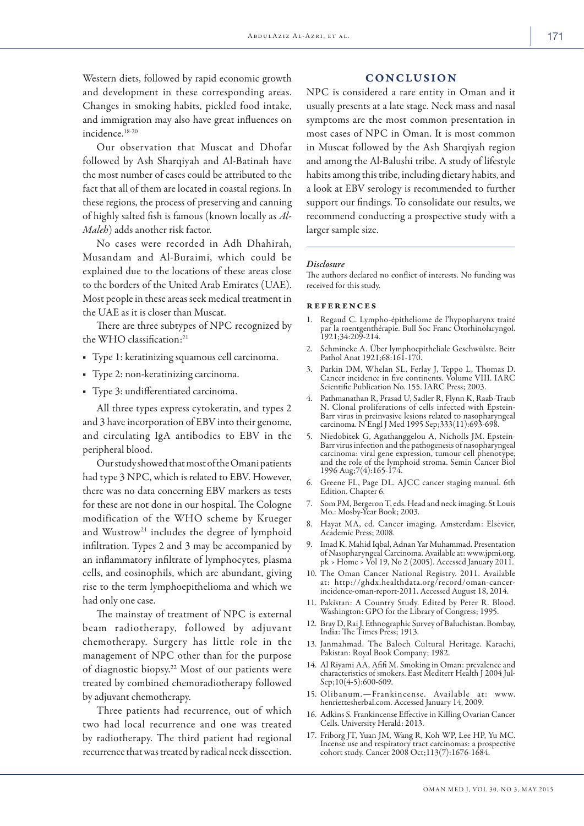Western diets, followed by rapid economic growth and development in these corresponding areas. Changes in smoking habits, pickled food intake, and immigration may also have great influences on incidence.18-20

Our observation that Muscat and Dhofar followed by Ash Sharqiyah and Al-Batinah have the most number of cases could be attributed to the fact that all of them are located in coastal regions. In these regions, the process of preserving and canning of highly salted fish is famous (known locally as *Al-Maleh*) adds another risk factor.

No cases were recorded in Adh Dhahirah, Musandam and Al-Buraimi, which could be explained due to the locations of these areas close to the borders of the United Arab Emirates (UAE). Most people in these areas seek medical treatment in the UAE as it is closer than Muscat.

There are three subtypes of NPC recognized by the WHO classification:<sup>21</sup>

- Type 1: keratinizing squamous cell carcinoma.
- Type 2: non-keratinizing carcinoma.
- Type 3: undifferentiated carcinoma.

All three types express cytokeratin, and types 2 and 3 have incorporation of EBV into their genome, and circulating IgA antibodies to EBV in the peripheral blood.

Our study showed that most of the Omani patients had type 3 NPC, which is related to EBV. However, there was no data concerning EBV markers as tests for these are not done in our hospital. The Cologne modification of the WHO scheme by Krueger and Wustrow<sup>21</sup> includes the degree of lymphoid infiltration. Types 2 and 3 may be accompanied by an inflammatory infiltrate of lymphocytes, plasma cells, and eosinophils, which are abundant, giving rise to the term lymphoepithelioma and which we had only one case.

The mainstay of treatment of NPC is external beam radiotherapy, followed by adjuvant chemotherapy. Surgery has little role in the management of NPC other than for the purpose of diagnostic biopsy.22 Most of our patients were treated by combined chemoradiotherapy followed by adjuvant chemotherapy.

Three patients had recurrence, out of which two had local recurrence and one was treated by radiotherapy. The third patient had regional recurrence that was treated by radical neck dissection.

# CONCLUSION

NPC is considered a rare entity in Oman and it usually presents at a late stage. Neck mass and nasal symptoms are the most common presentation in most cases of NPC in Oman. It is most common in Muscat followed by the Ash Sharqiyah region and among the Al-Balushi tribe. A study of lifestyle habits among this tribe, including dietary habits, and a look at EBV serology is recommended to further support our findings. To consolidate our results, we recommend conducting a prospective study with a larger sample size.

#### *Disclosure*

The authors declared no conflict of interests. No funding was received for this study.

#### references

- 1. Regaud C. Lympho-épitheliome de l'hypopharynx traité par la roentgenthérapie. Bull Soc Franc Otorhinolaryngol. 1921;34:209-214.
- 2. Schmincke A. Über lymphoepitheliale Geschwülste. Beitr Pathol Anat 1921;68:161-170.
- 3. Parkin DM, Whelan SL, Ferlay J, Teppo L, Thomas D. Cancer incidence in five continents. Volume VIII. IARC Scientific Publication No. 155. IARC Press; 2003.
- Pathmanathan R, Prasad U, Sadler R, Flynn K, Raab-Traub N. Clonal proliferations of cells infected with Epstein-Barr virus in preinvasive lesions related to nasopharyngeal carcinoma. N Engl J Med 1995 Sep;333(11):693-698.
- 5. Niedobitek G, Agathanggelou A, Nicholls JM. Epstein-Barr virus infection and the pathogenesis of nasopharyngeal carcinoma: viral gene expression, tumour cell phenotype, and the role of the lymphoid stroma. Semin Cancer Biol 1996 Aug;7(4):165-174.
- 6. Greene FL, Page DL. AJCC cancer staging manual. 6th Edition. Chapter 6.
- 7. Som PM, Bergeron T, eds. Head and neck imaging. St Louis Mo.: Mosby-Year Book; 2003.
- 8. Hayat MA, ed. Cancer imaging. Amsterdam: Elsevier, Academic Press; 2008.
- 9. Imad K. Mahid Iqbal, Adnan Yar Muhammad. Presentation of Nasopharyngeal Carcinoma. Available at: www.jpmi.org. pk › Home › Vol 19, No 2 (2005). Accessed January 2011.
- 10. The Oman Cancer National Registry. 2011. Available at: http://ghdx.healthdata.org/record/oman-cancerincidence-oman-report-2011. Accessed August 18, 2014.
- 11. Pakistan: A Country Study. Edited by Peter R. Blood. Washington: GPO for the Library of Congress; 1995.
- 12. Bray D, Rai J. Ethnographic Survey of Baluchistan. Bombay, India: The Times Press; 1913.
- 13. Janmahmad. The Baloch Cultural Heritage. Karachi, Pakistan: Royal Book Company; 1982.
- 14. Al Riyami AA, Afifi M. Smoking in Oman: prevalence and characteristics of smokers. East Mediterr Health J 2004 Jul-Sep;10(4-5):600-609.
- 15. Olibanum.—Frankincense. Available at: www. henriettesherbal.com. Accessed January 14, 2009.
- 16. Adkins S. Frankincense Effective in Killing Ovarian Cancer Cells. University Herald: 2013.
- 17. Friborg JT, Yuan JM, Wang R, Koh WP, Lee HP, Yu MC. Incense use and respiratory tract carcinomas: a prospective cohort study. Cancer 2008 Oct;113(7):1676-1684.